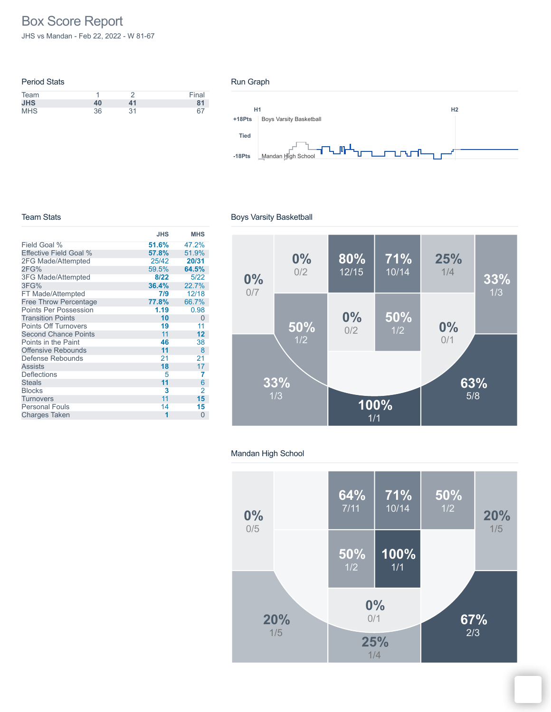# Box Score Report

JHS vs Mandan - Feb 22, 2022 - W 81-67

| <b>Period Stats</b> |    |    |       |
|---------------------|----|----|-------|
| Team                |    |    | Final |
| <b>JHS</b>          | 40 | 41 | 81    |
| <b>MHS</b>          | 36 | 31 |       |

#### Run Graph



#### Team Stats

|                              | <b>JHS</b> | <b>MHS</b>     |
|------------------------------|------------|----------------|
| Field Goal %                 | 51.6%      | 47.2%          |
| Effective Field Goal %       | 57.8%      | 51.9%          |
| 2FG Made/Attempted           | 25/42      | 20/31          |
| 2FG%                         | 59.5%      | 64.5%          |
| 3FG Made/Attempted           | 8/22       | 5/22           |
| 3FG%                         | 36.4%      | 22.7%          |
| FT Made/Attempted            | 7/9        | 12/18          |
| <b>Free Throw Percentage</b> | 77.8%      | 66.7%          |
| <b>Points Per Possession</b> | 1.19       | 0.98           |
| <b>Transition Points</b>     | 10         | $\overline{0}$ |
| <b>Points Off Turnovers</b>  | 19         | 11             |
| <b>Second Chance Points</b>  | 11         | 12             |
| Points in the Paint          | 46         | 38             |
| Offensive Rebounds           | 11         | 8              |
| Defense Rebounds             | 21         | 21             |
| <b>Assists</b>               | 18         | 17             |
| <b>Deflections</b>           | 5          | 7              |
| <b>Steals</b>                | 11         | 6              |
| <b>Blocks</b>                | 3          | 2              |
| <b>Turnovers</b>             | 11         | 15             |
| <b>Personal Fouls</b>        | 14         | 15             |
| <b>Charges Taken</b>         | 1          | $\overline{0}$ |

## Boys Varsity Basketball



## Mandan High School